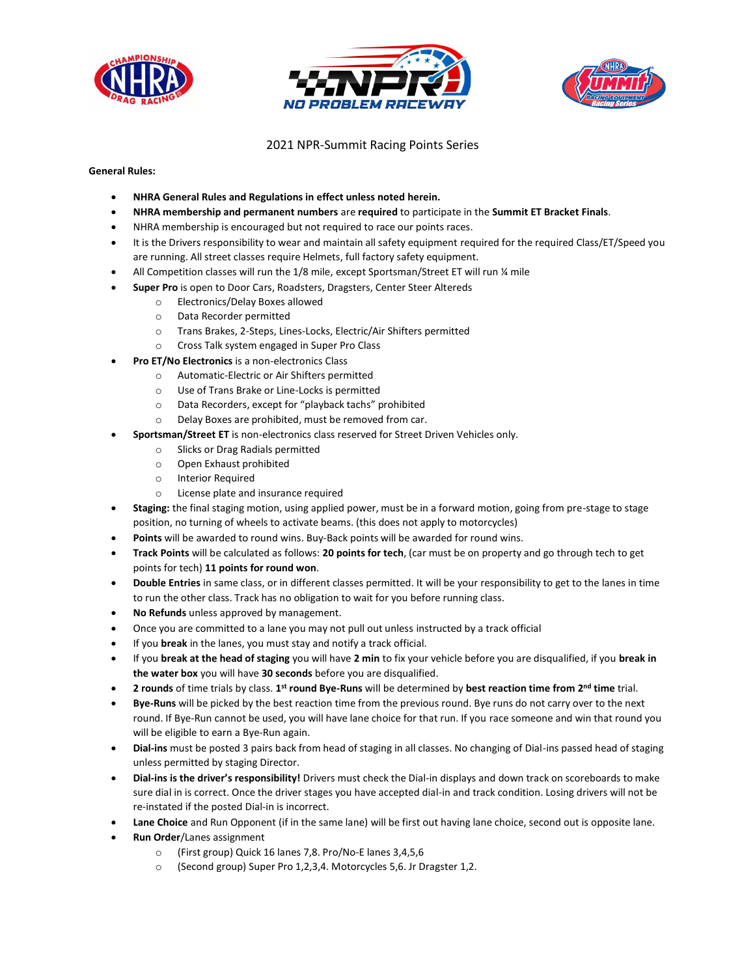





## 2021 NPR-Summit Racing Points Series

**General Rules:**

- **NHRA General Rules and Regulations in effect unless noted herein.**
- **NHRA membership and permanent numbers** are **required** to participate in the **Summit ET Bracket Finals**.
- NHRA membership is encouraged but not required to race our points races.
- It is the Drivers responsibility to wear and maintain all safety equipment required for the required Class/ET/Speed you are running. All street classes require Helmets, full factory safety equipment.
- All Competition classes will run the 1/8 mile, except Sportsman/Street ET will run 1/4 mile
- **Super Pro** is open to Door Cars, Roadsters, Dragsters, Center Steer Altereds
	- o Electronics/Delay Boxes allowed
	- o Data Recorder permitted
	- o Trans Brakes, 2-Steps, Lines-Locks, Electric/Air Shifters permitted
	- o Cross Talk system engaged in Super Pro Class
	- **Pro ET/No Electronics** is a non-electronics Class
		- o Automatic-Electric or Air Shifters permitted
		- o Use of Trans Brake or Line-Locks is permitted
		- o Data Recorders, except for "playback tachs" prohibited
		- o Delay Boxes are prohibited, must be removed from car.
- **Sportsman/Street ET** is non-electronics class reserved for Street Driven Vehicles only.
	- o Slicks or Drag Radials permitted
	- o Open Exhaust prohibited
	- o Interior Required
	- o License plate and insurance required
- **Staging:** the final staging motion, using applied power, must be in a forward motion, going from pre-stage to stage position, no turning of wheels to activate beams. (this does not apply to motorcycles)
- **Points** will be awarded to round wins. Buy-Back points will be awarded for round wins.
- **Track Points** will be calculated as follows: **20 points for tech**, (car must be on property and go through tech to get points for tech) **11 points for round won**.
- **Double Entries** in same class, or in different classes permitted. It will be your responsibility to get to the lanes in time to run the other class. Track has no obligation to wait for you before running class.
- **No Refunds** unless approved by management.
- Once you are committed to a lane you may not pull out unless instructed by a track official
- If you **break** in the lanes, you must stay and notify a track official.
- If you **break at the head of staging** you will have **2 min** to fix your vehicle before you are disqualified, if you **break in the water box** you will have **30 seconds** before you are disqualified.
- **•** 2 rounds of time trials by class. 1<sup>st</sup> round Bye-Runs will be determined by best reaction time from 2<sup>nd</sup> time trial.
- **Bye-Runs** will be picked by the best reaction time from the previous round. Bye runs do not carry over to the next round. If Bye-Run cannot be used, you will have lane choice for that run. If you race someone and win that round you will be eligible to earn a Bye-Run again.
- **Dial-ins** must be posted 3 pairs back from head of staging in all classes. No changing of Dial-ins passed head of staging unless permitted by staging Director.
- **Dial-ins is the driver's responsibility!** Drivers must check the Dial-in displays and down track on scoreboards to make sure dial in is correct. Once the driver stages you have accepted dial-in and track condition. Losing drivers will not be re-instated if the posted Dial-in is incorrect.
- **Lane Choice** and Run Opponent (if in the same lane) will be first out having lane choice, second out is opposite lane.
- **Run Order**/Lanes assignment
	- o (First group) Quick 16 lanes 7,8. Pro/No-E lanes 3,4,5,6
	- o (Second group) Super Pro 1,2,3,4. Motorcycles 5,6. Jr Dragster 1,2.